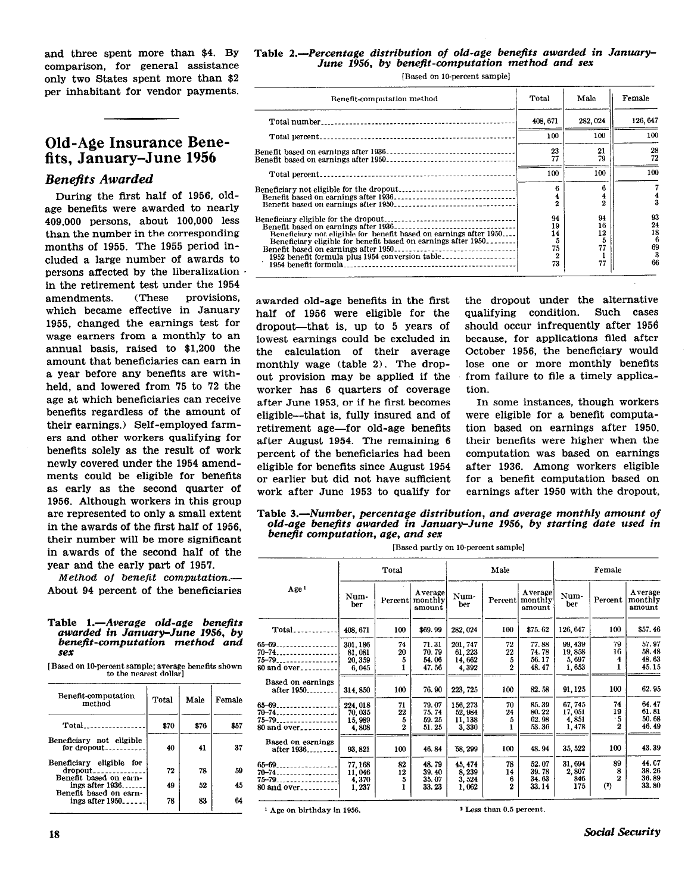and three spent more than \$4. BY comparison, for general assistance only two States spent more than \$2 per inhabitant for vendor payments.

## Old-Age Insurance Benefits, January-June 1956

## Benefits Awarded

During the first half of 1956, oldage benefits were awarded to nearly 409,000 persons, about 100,000 less than the number in the corresponding months of 1955. The 1955 period included a large number of awards to persons affected by the liberalization in the retirement test under the 1954 amendments. (These provisions, which became effective in January 1955, changed the earnings test for wage earners from a monthly to an annual basis, raised to \$1,200 the amount that beneficiaries can earn in a year before any benefits are withheld, and lowered from 75 to 72 the age at which beneficiaries can receive benefits regardless of the amount of their earnings.) Self-employed farmers and other workers qualifying for benefits solely as the result of work newly covered under the 1954 amendments could be eligible for benefits as early as the second quarter of 1956. Although workers in this group are represented to only a small extent in the awards of the first half of 1956, their number will be more significant in awards of the second half of the year and the early part of 1957.

Method of benefit computation.- About 94 percent of the beneficiaries

#### Table 1.—Average old-age benefits awarded in January-June 1956, by benefit-computation method and sex

[Based on 10-percent sample; average benefits shown to the nearest dollar]

| Benefit-computation<br>method                                    | Total | Male | Female |
|------------------------------------------------------------------|-------|------|--------|
| Total                                                            | \$70  | \$76 | \$57   |
| Beneficiary not eligible<br>for dropout                          | 40    | 41   | 37     |
| Beneficiary eligible<br>fог<br>dropout<br>Benefit based on earn- | 72    | 78   | 59     |
| ings after 1936                                                  | 49    | 52   | 45     |
| Benefit based on earn-<br>ings after $1950$                      | 78    | 83   | 64     |

### Table 2.-Percentage distribution of old-age benefits awarded in January-June 1956, by benefit-computation method and sex

[Based on 10-percent sample]

| Benefit-computation method                                                                                                                                                                                                    | Total                                               | Male                            | Female                               |
|-------------------------------------------------------------------------------------------------------------------------------------------------------------------------------------------------------------------------------|-----------------------------------------------------|---------------------------------|--------------------------------------|
| Total number.                                                                                                                                                                                                                 | 408, 671                                            | 282.024                         | 126.647                              |
|                                                                                                                                                                                                                               | 100                                                 | 100                             | 100                                  |
|                                                                                                                                                                                                                               | 23<br>77                                            | 21<br>79                        | 28<br>72                             |
|                                                                                                                                                                                                                               | 100                                                 | 100                             | 100                                  |
|                                                                                                                                                                                                                               |                                                     | ĥ<br>2                          | $\frac{4}{3}$                        |
| Benefit based on earnings after 1936<br>Beneficiary not eligible for benefit based on earnings after 1950<br>Beneficiary eligible for benefit based on earnings after 1950<br>1952 benefit formula plus 1954 conversion table | 94<br>19<br>14<br>5<br>75<br>$\boldsymbol{2}$<br>73 | 94<br>16<br>12<br>Ð<br>77<br>77 | 93<br>24<br>18<br>6<br>69<br>3<br>66 |

half of 1956 were eligible for the qualifying condition. Such cases dropout-that is, up to 5 Years of should occur infrequently after 1956 lowest earnings could be excluded in because, for applications filed after the calculation of their average October 1956, the beneficiary would monthly wage (table 2). The drop- lose one or more monthly benefits<br>out provision may be applied if the from failure to file a timely applicaout provision may be applied if the worker has 6 quarters of coverage tion. after June 1953, or if he first becomes In some instances, though workers eligible-that is, fully insured and of were eligible for a benefit computaretirement age-for old-age benefits tion based on earnings after 1950, after August 1954. The remaining 6 their benefits were higher when the percent of the beneficiaries had been computation was based on earnings eligible for benefits since August 1954 after 1936. Among workers eligible or earlier but did not have sufficient for a benefit computation based on work after June 1953 to qualify for earnings after 1950 with the dropout,

awarded old-age benefits in the first the dropout under the alternative

Table 3.-Number, percentage distribution, and average monthly amount of old-age benejits awarded in January-June 1956, by starting date used in benefit computation, age, and sex

|                                  |             | Total       |                              |             | Male             |                              | Female      |                |                              |
|----------------------------------|-------------|-------------|------------------------------|-------------|------------------|------------------------------|-------------|----------------|------------------------------|
| Age <sup>1</sup>                 | Num-<br>ber | Percent     | Average<br>monthly<br>amount | Num-<br>ber | Percent          | Average<br>monthly<br>amount | Num-<br>ber | Percent        | Average<br>monthly<br>amount |
| $Total$                          | 408, 671    | 100         | \$69.99                      | 282, 024    | 100              | \$75.62                      | 126, 647    | 100            | \$57.46                      |
| 65–69.<br>.                      | 301.186     | 74          | 71.31                        | 201, 747    | 72               | 77.88                        | 99, 439     | 79             | 57.97                        |
| 70–74.                           | 81,081      | 20          | 70.79                        | 61, 223     | 22               | 74.78                        | 19,858      | 16             | 58.48                        |
| 75–79.                           | 20,359      | 5           | 54.06                        | 14,662      | 5                | 56.17                        | 5,697       | 4              | 48.63                        |
| 80 and over <sub>---------</sub> | 6,045       | 1           | 47.56                        | 4,392       | $\boldsymbol{2}$ | 48.47                        | 1,653       | 1              | 45.15                        |
| Based on earnings                |             |             |                              |             |                  |                              |             |                |                              |
| after 1950.                      | 314, 850    | 100         | 76.90                        | 223, 725    | 100              | 82.58                        | 91, 125     | 100            | 62.95                        |
| 65-69.                           | 224, 018    | 71          | 79.07                        | 156, 273    | 70               | 85.39                        | 67,745      | 74             | 64.47                        |
| 70–74.                           | 70,035      | 22          | 75.74                        | 52,984      | 24               | 80.22                        | 17,051      | 19             | 61.81                        |
| 75–79.                           | 15,989      | 5           | 59.25                        | 11, 138     | 5                | 62.98                        | 4,851       | .5             | 50.68                        |
| 80 and over <sub>---------</sub> | 4,808       | $\mathbf 2$ | 51.25                        | 3.330       |                  | 53.36                        | 1,478       | $\overline{2}$ | 46.49                        |
|                                  |             |             |                              |             |                  |                              |             |                |                              |
| Based on earnings<br>after 1936  | 93, 821     | 100         | 46.84                        | 58, 299     | 100              | 48.94                        | 35, 522     | 100            | 43.39                        |
| 65-69.                           | 77, 168     | 82          | 48.79                        | 45, 474     | 78               | 52.07                        | 31,694      | 89             | 44.07                        |
| 70–74.                           | 11,046      | 12          | 39.40                        | 8,239       | 14               | 39.78                        | 2,807       | 8              | 38.26                        |
| 75-79.                           | 4,370       | 5           | 35.07                        | 3,524       | 6                | 34.63                        | 846         | 2              | 36.89                        |
| 80 and over                      | 1,237       | 1           | 33.23                        | 1,062       | $\mathbf{2}$     | 33.14                        | 175         | (?)            | 33.80                        |

1 Age on birthday in 1956. 2 Less than 0.5 percent.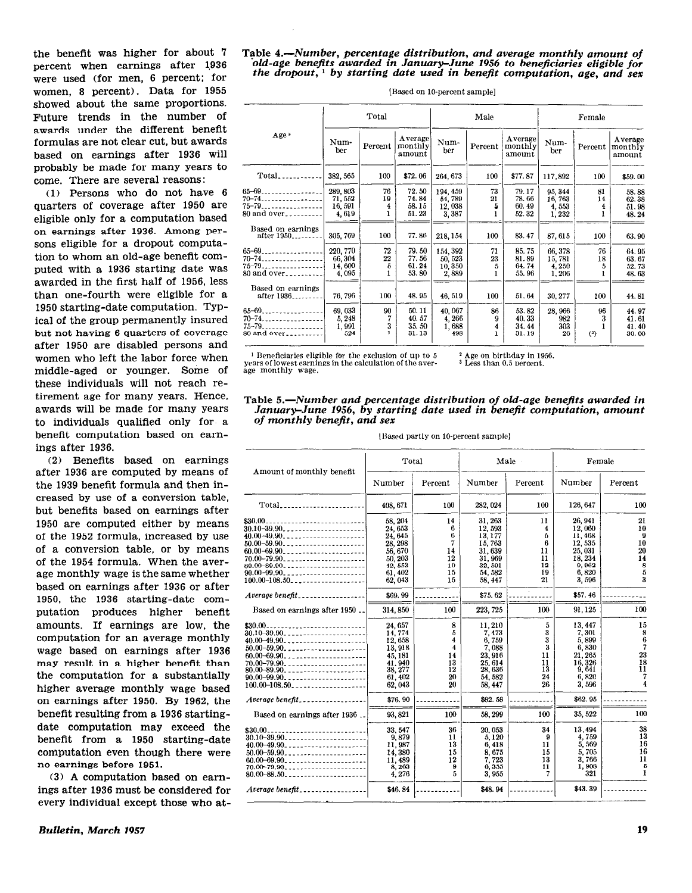the beneflt was higher for about '7 percent when earnings after 1936 were used (for men, 6 percent; for women, 8 percent). Data for 1955 showed about the same proportions. Future trends in the number of awards under the different benefit formulas are not clear cut, but awards based on earnings after 1936 will probably be made for many years to come. There are several reasons:

(1) Persons who do not have 6 quarters of coverage after 1950 are eligible only for a computation based on earnings after 1936. Among persons eligible for a dropout computation to whom an old-age benefit computed with a 1936 starting date was awarded in the first half of 1956, less than one-fourth were eligible for a 1950 starting-date computation. TYPical of the group permanently insured but not having 6 quarters of coverage after 1950 are disabled persons and women who left the labor force when middle-aged or younger. Some of these individuals will not reach retirement age for many years. Hence, awards will be made for many years to individuals qualified only for a benefit computation based on earnings after 1936.

(2) Benefits based on earnings after 1936 are computed by means of the 1939 benefit formula and then increased by use of a conversion table, but benefits based on earnings after 1950 are computed either by means of the 1952 formula, increased by use of a conversion table, or by means of the 1954 formula. When the average monthly wage is the same whether based on earnings after 1936 or after 1950, the 1936 starting-date computation produces higher benefit amounts. If earnings are low, the computation for an average monthly wage based on earnings after 1936 may result in a higher benefit than the computation for a substantially higher average monthly wage based on earnings after 1950. By 1962, the benefit resulting from a 1936 startingdate computation may exceed the benefit from a 1950 starting-date computation even though there were no earnings before 1951.

(3) A computation based on earnings after 1936 must be considered for every individual except those who at-

#### Table &-Number, percentage distribution, and average monthly amount of old-age benefits awarded in January-June 1956 to beneficiaries eligible for the dropout,  $\frac{1}{x}$  by starting date used in benefit computation, age, and sex

|                                                                   |                                       | Total              |                                  |                                       | Male               |                                   |                                     | Female             |                                  |  |  |
|-------------------------------------------------------------------|---------------------------------------|--------------------|----------------------------------|---------------------------------------|--------------------|-----------------------------------|-------------------------------------|--------------------|----------------------------------|--|--|
| Age <sup>2</sup>                                                  | Num-<br>ber                           | Percent            | Average<br>monthly<br>amount     | Num-<br>ber                           | Percent            | Average<br>monthly<br>amount      | Num-<br>ber                         | Percent            | Average<br>monthly<br>amount     |  |  |
| Total                                                             | 382, 565                              | 100                | \$72.06                          | 264, 673                              | 100                | \$77.87                           | 117,892                             | 100                | \$59.00                          |  |  |
| $65 - 69$<br>$70 - 74$<br>$75 - 79$<br>80 and over                | 289,803<br>71, 552<br>16,591<br>4,619 | 76<br>19<br>4<br>ı | 72.50<br>74.84<br>58.15<br>51.23 | 194, 459<br>54,789<br>12,038<br>3,387 | 73<br>21<br>5<br>1 | 79.17<br>78.66<br>60.49<br>52.32  | 95, 344<br>16,763<br>4,553<br>1,232 | 81<br>14<br>4<br>1 | 58.88<br>62.38<br>51.98<br>48.24 |  |  |
| Based on earnings<br>after 1950 <sub>--------</sub>               | 305, 769                              | 100                | 77.86                            | 218, 154                              | 100                | 83.47                             | 87, 615                             | 100                | 63.90                            |  |  |
| $65 - 69$<br>$70 - 74$<br>$75 - 79$  <br>80 and over              | 220, 770<br>66.304<br>14,600<br>4,095 | 72<br>$22\,$<br>5  | 79.50<br>77.56<br>61.24<br>53.80 | 154 392<br>50, 523<br>10,350<br>2,889 | 71<br>23<br>5<br>1 | 85.75<br>81.89<br>64.74<br>55, 96 | 66,378<br>15,781<br>4,250<br>1,206  | 76<br>18<br>5<br>Ŧ | 64.95<br>63.67<br>52.73<br>48.63 |  |  |
| Based on earnings<br>after 1936                                   | 76,796                                | 100                | 48.95                            | 46.519                                | 100                | 51.64                             | 30, 277                             | 100                | 44.81                            |  |  |
| $65 - 69$<br>$70 - 74$<br>$75 - 79$<br>$80$ and $over_{\text{2}}$ | 69,033<br>5, 248<br>1,991<br>524      | 90<br>7<br>3       | 50.11<br>40.57<br>35.50<br>31.13 | 40,067<br>4,266<br>1,688<br>498       | 86<br>9<br>4<br>1  | 53.82<br>40.33<br>34.44<br>31.19  | 28.966<br>982<br>303<br>26          | 96<br>3<br>(3)     | 44.97<br>41.61<br>41.40<br>30.00 |  |  |

[Based on lo-percent sample]

 $1$  Beneficiaries cligible for the exclusion of up to 5 years of lowest earnings in the calculation of the aver-age monthly wage.

\* Age on birthday in 1956. <sup>3</sup> Less than 0.5 percent.

Table &-Number and percentage distribution of old-age benefits awarded in January-June 1956, by starting date used in benefit computation, amount of monthly benefit, and sex

|  |  | [Based partly on 10-percent sample] |  |
|--|--|-------------------------------------|--|
|--|--|-------------------------------------|--|

| Amount of monthly benefit                       | Total    |         | Male     |         | Female   |              |
|-------------------------------------------------|----------|---------|----------|---------|----------|--------------|
|                                                 | Number   | Percent | Number   | Percent | Number   | Percent      |
| Total                                           | 408.671  | 100     | 282, 024 | 100     | 126, 647 | 100          |
| \$30.00<br>--------------------------           | 58, 204  | 14      | 31.263   | 11      | 26, 941  | 21           |
| $30.10 - 39.90$                                 | 24.653   | 6       | 12.593   | 4       | 12,060   | 10           |
| 40.00~49.90                                     | 24, 645  | 6       | 13,177   | 5       | 11,468   | 9            |
| $50.00 - 59.90$                                 | 28.298   | 7       | 15,763   | 6       | 12.535   | 10           |
|                                                 | 56, 670  | 14      | 31.639   | 11      | 25, 031  | 20           |
| $70.00 - 79.90$                                 | 50.203   | 12      | 31,969   | 11      | 18.234   | 14           |
| $80.00 - 89.90$ ,                               | 42, 553  | 10      | 32, 591  | 12      | 9,962    | 8            |
| $90.00 - 99.90$                                 | 61,402   | 15      | 54, 582  | 19      | 6,820    | 5            |
| $100.00 - 108.50$                               | 62,043   | 15      | 58.447   | 21      | 3.596    | 3            |
|                                                 |          |         |          |         |          |              |
| $A$ verage benefit                              | \$69.99  |         | \$75.62  |         | \$57.46  |              |
| Based on earnings after 1950                    | 314, 850 | 100     | 223, 725 | 100     | 91.125   | 100          |
| $$30.00$                                        | 24.657   | 8       | 11.210   | 5       | 13.447   | 15           |
| 30.10-39.90 <sub>-----</sub> ------------------ | 14, 774  | 5       | 7,473    | 3       | 7,301    | 8            |
| $40.00 - 49.90$                                 | 12.658   | 4       | 6.759    | 3       | 5,899    | 6            |
|                                                 |          |         | 7.088    | 3       | 6.830    | 7            |
| $50.00 - 59.90$                                 | 13.918   | 4       |          |         |          |              |
| $60.00 - 69.90$                                 | 45, 181  | 14      | 23, 916  | 11      | 21, 265  | 23           |
| $70.00 - 79.90$ ,                               | 41.940   | 13      | 25, 614  | 11      | 16,326   | 18           |
| $80.00 - 89.90$                                 | 38, 277  | 12      | 28, 636  | 13      | 9.641    | 11           |
| $90.00 - 99.90$                                 | 61.402   | 20      | 54.582   | 24      | 6,820    | 7            |
| $100.00 - 108.50$                               | 62.043   | 20      | 58.447   | 26      | 3,596    | 4            |
| Average benefit                                 | \$76.90  |         | \$82.58  |         | \$62.95  |              |
| Based on earnings after 1936                    | 93.821   | 100     | 58, 299  | 100     | 35, 522  | 100          |
| --------------------------<br>\$30.00           | 33, 547  | 36      | 20.053   | 34      | 13.494   | 38           |
| $30.10 - 39.90$                                 | 9,879    | 11      | 5,120    | 9       | 4,759    | 13           |
| $40.00 - 49.90$                                 | 11.987   | 13      | 6,418    | 11      | 5,569    | 16           |
| $50.00 - 59.90 - 200$                           | 14.380   | 15      | 8,675    | 15      | 5.705    | 16           |
| $60.00 - 69.90$                                 | 11,489   | 12      | 7,723    | 13      | 3.766    | 11           |
| $70.00 - 79.90$ ,                               | 8,263    | 9       | 6,355    | 11      | 1,908    | 5            |
| $80.00 - 88.50$                                 | 4,276    | 5       | 3,955    | 7       | 321      | $\mathbf{r}$ |
| $Average benefit \dots \dots \dots \dots \dots$ | \$46.84  |         | \$48.94  |         | \$43.39  |              |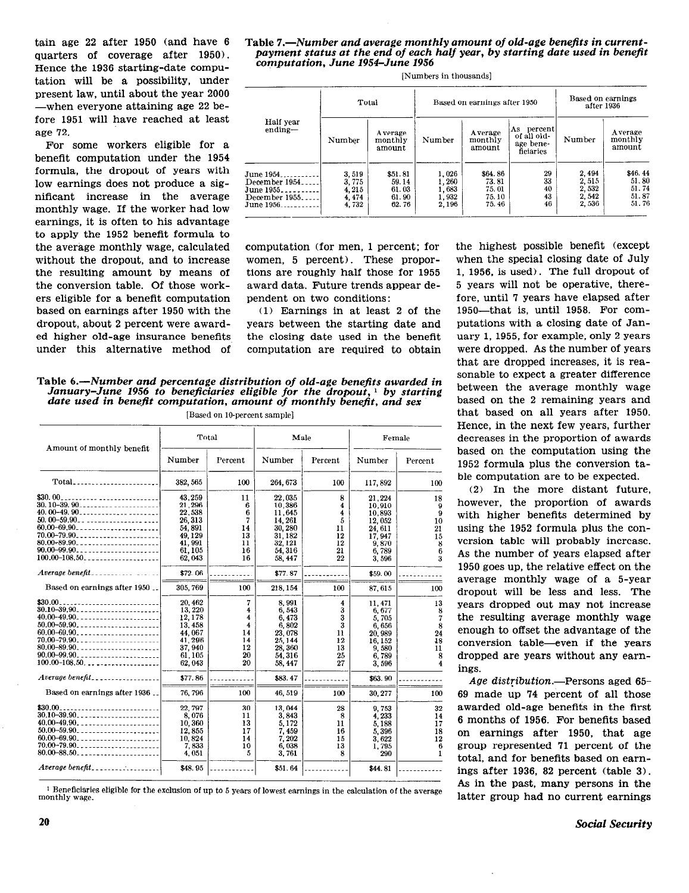tain age 22 after 1950 (and have 6 quarters of coverage after 1950). Hence the 1936 starting-date computation will be a possibility, under present law, until about the year 2000 -when everyone attaining age 22 before 1951 will have reached at least age 72.

For some workers eligible for a benefit computation under the 1954 formula, the dropout of years with low earnings does not produce a significant increase in the average monthly wage. If the worker had low earnings, it is often to his advantage to apply the 1952 benefit formula to the average monthly wage, calculated without the dropout, and to increase the resulting amount by means of the conversion table. Of those workers eligible for a benefit computation based on earnings after 1950 with the dropout, about 2 percent were awarded higher old-age insurance benefits under this alternative method of

Table 7.—Number and average monthly amount of old-age benefits in currentpayment status at the end of each half year, by starting date used in benefit computation, June 1954-June 1956

| Total                                                                    |                                         |                                             | Based on earnings after 1950               |                                             |                                                     | Based on earnings<br>after 1936           |                                             |
|--------------------------------------------------------------------------|-----------------------------------------|---------------------------------------------|--------------------------------------------|---------------------------------------------|-----------------------------------------------------|-------------------------------------------|---------------------------------------------|
| Half year<br>ending-                                                     | Number                                  | A verage<br>monthly<br>amount               | Number                                     | Average<br>monthly<br>amount                | As percent<br>of all old-<br>age bene-<br>ficiaries | Number                                    | Average<br>monthly<br>amount                |
| une 1954.<br>December 1954.<br>une 1955.<br>December 1955.<br>'une 1956. | 3,519<br>3.775<br>4.215<br>474<br>4.732 | \$51.81<br>59.14<br>61.03<br>61.90<br>62.76 | 1.026<br>$-260$<br>1.683<br>1.932<br>2.196 | \$64.86<br>73.81<br>75.01<br>75.10<br>75.46 | 29<br>33<br>40<br>43<br>46                          | 2,494<br>2,515<br>2,532<br>2.542<br>2,536 | \$46.44<br>51.80<br>51.74<br>51.87<br>51.76 |

[Numbers in thousands]

computation (for men, 1 percent; for women, 5 percent). These proportions are roughly half those for 1955 award data. Future trends appear dependent on two conditions:

 $(1)$  Earnings in at least 2 of the years between the starting date and the closing date used in the benefit computation are required to obtain

Table 6.—Number and percentage distribution of old-age benefits awarded in January-June 1956 to beneficiaries eligible for the dropout, <sup>1</sup> by starting date used in benefit computation, amount of monthly benefit, and sex [Based on 10-percent sample]

| Amount of monthly benefit               | Total    |         | Male     |         | Female   |         |
|-----------------------------------------|----------|---------|----------|---------|----------|---------|
|                                         | Number   | Percent | Number   | Percent | Number   | Percent |
|                                         | 382, 565 | 100     | 264, 673 | 100     | 117, 892 | 100     |
| \$30.00.                                | 43.259   | 11      | 22,035   | 8       | 21.224   | 18      |
| $30.10 - 39.90$                         | 21.296   | 6       | 10,386   | 4       | 10.910   | 9       |
| 40.00-49.90                             | 22,538   | 6       | 11.645   | 4       | 10.893   | 9       |
| $50.00 - 59.90 - 59.0$                  | 26, 313  | 7       | 14, 261  | 5       | 12,052   | 10      |
| $60.00 - 69.90$                         | 54.891   | 14      | 30, 280  | 11      | 24, 611  | 21      |
| $70.00 - 79.90$ , ,,,,,,,,,,,,,,,,,,,,, | 49.129   | 13      | 31, 182  | 12      | 17.947   | 15      |
| $80.00 - 89.90$                         | 41, 991  | 11      | 32, 121  | 12      | 9.870    |         |
| $90.00 - 99.90$                         | 61,105   | 16      | 54, 316  | 21      | 6,789    |         |
| $100.00 - 108.50$                       | 62,043   | 16      | 58, 447  | 22      | 3,596    | å       |
| Average benefit                         | \$72.06  |         | \$77.87  |         | \$59.00  |         |
| Based on earnings after 1950            | 305, 769 | 100     | 218.154  | 100     | 87, 615  | 100     |
| \$30.00.                                | 20, 462  | 7       | 8.991    | 4       | 11, 471  | 13      |
| $30.10 - 39.90$                         | 13, 220  | 4       | 6,543    | 3       | 6,677    | 8       |
| 40.00-49.90                             | 12,178   | 4       | 6.473    | 3       | 5,705    |         |
| $50.00 - 59.90$                         | 13,458   | 4       | 6,802    | 3       | 6.656    | 8       |
| $60.00 - 69.90$                         | 44.067   | 14      | 23.078   | 11      | 20, 989  | 24      |
| $70.00 - 79.90$                         | 41, 296  | 14      | 25, 144  | 12      | 16,152   | 18      |
| $80.00 - 89.90$                         | 37.940   | 12      | 28,360   | 13      | 9,580    | 11      |
| $90.00 - 99.90$                         | 61.105   | 20      | 54,316   | 25      | 6,789    |         |
| $100.00 - 108.50$                       | 62.043   | 20      | 58, 447  | 27      | 3,596    |         |
|                                         | \$77.86  |         | \$83.47  |         | \$63.90  |         |
| Based on earnings after 1936            | 76, 796  | 100     | 46, 519  | 100     | 30, 277  | 100     |
| \$30.00<br>------------------------     | 22.797   | 30      | 13.044   | 28      | 9,753    | 32      |
| $30.10 - 39.90$                         | 8.076    | 11      | 3.843    | 8       | 4,233    | 14      |
| $40.00 - 49.90$ ,                       | 10,360   | 13      | 5.172    | 11      | 5.188    | 17      |
| 50.00-59.90                             | 12,855   | 17      | 7.459    | 16      | 5,396    | 18      |
| $60.00 - 69.90$                         | 10.824   | 14      | 7.202    | 15      | 3,622    | 12      |
| $70.00 - 79.90 - 79.90 - 79.90$         | 7,833    | 10      | 6,038    | 13      | 1,795    |         |
| $80.00 - 88.50$                         | 4.051    | 5       | 3.761    | 8       | 290      |         |
| $A \textit{verage benefit}$             | \$48.95  |         | \$51.64  |         | \$44.81  |         |

<sup>1</sup> Beneficiaries eligible for the exclusion of up to 5 years of lowest earnings in the calculation of the average monthly wage.

the highest possible benefit (except when the special closing date of July 1, 1956, is used). The full dropout of 5 years will not be operative, therefore, until 7 years have elapsed after 1950-that is, until 1958. For computations with a closing date of January 1, 1955, for example, only 2 years were dropped. As the number of years that are dropped increases, it is reasonable to expect a greater difference between the average monthly wage based on the 2 remaining years and that based on all years after 1950. Hence, in the next few years, further decreases in the proportion of awards based on the computation using the 1952 formula plus the conversion table computation are to be expected.

(2) In the more distant future, however, the proportion of awards with higher benefits determined by using the 1952 formula plus the conversion table will probably increase. As the number of years elapsed after 1950 goes up, the relative effect on the average monthly wage of a 5-year dropout will be less and less. The years dropped out may not increase the resulting average monthly wage enough to offset the advantage of the conversion table-even if the years dropped are years without any earnings.

Age distribution.—Persons aged 65-69 made up 74 percent of all those awarded old-age benefits in the first 6 months of 1956. For benefits based on earnings after 1950, that age group represented 71 percent of the total, and for benefits based on earnings after 1936, 82 percent (table 3). As in the past, many persons in the latter group had no current earnings